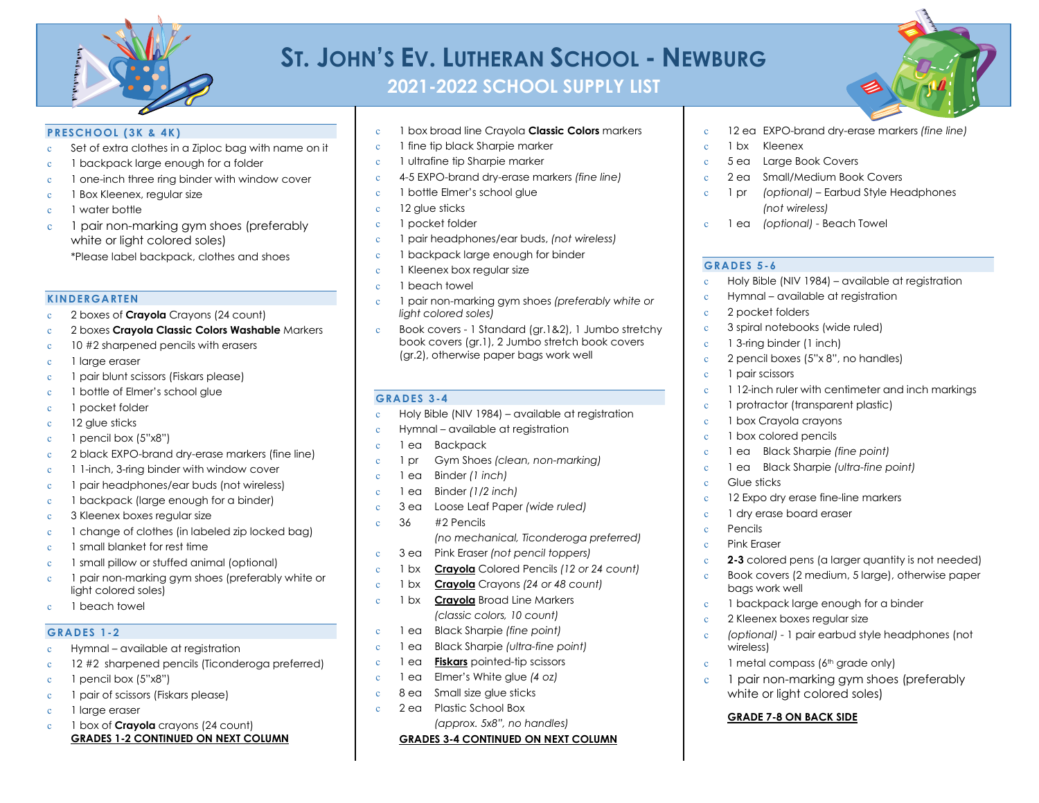

# **ST. JOHN'S EV. LUTHERAN SCHOOL - NEWBURG**

**2021-2022 SCHOOL SUPPLY LIST**



## **PRESCHOOL (3K & 4K)**

- c Set of extra clothes in a Ziploc bag with name on it
- c 1 backpack large enough for a folder
- c 1 one-inch three ring binder with window cover
- c 1 Box Kleenex, regular size
- c 1 water bottle
- c 1 pair non-marking gym shoes (preferably white or light colored soles) \*Please label backpack, clothes and shoes

#### **KINDERGARTEN**

- c 2 boxes of **Crayola** Crayons (24 count)
- c 2 boxes **Crayola Classic Colors Washable** Markers
- c 10 #2 sharpened pencils with erasers
- c 1 large eraser
- c 1 pair blunt scissors (Fiskars please)
- c 1 bottle of Elmer's school glue
- c 1 pocket folder
- c 12 glue sticks
- c 1 pencil box (5"x8")
- c 2 black EXPO-brand dry-erase markers (fine line)
- c 1 1-inch, 3-ring binder with window cover
- c 1 pair headphones/ear buds (not wireless)
- c 1 backpack (large enough for a binder)
- c 3 Kleenex boxes regular size
- c 1 change of clothes (in labeled zip locked bag)
- c 1 small blanket for rest time
- c 1 small pillow or stuffed animal (optional)
- c 1 pair non-marking gym shoes (preferably white or light colored soles)
- c 1 beach towel

## **GRADES 1-2**

- c Hymnal available at registration
- c 12 #2 sharpened pencils (Ticonderoga preferred)
- c 1 pencil box (5"x8")
- c 1 pair of scissors (Fiskars please)
- c 1 large eraser
- c 1 box of **Crayola** crayons (24 count) **GRADES 1-2 CONTINUED ON NEXT COLUMN**
- c 1 box broad line Crayola **Classic Colors** markers
- c 1 fine tip black Sharpie marker
- c 1 ultrafine tip Sharpie marker
- c 4-5 EXPO-brand dry-erase markers *(fine line)*
- c 1 bottle Elmer's school glue
- c 12 glue sticks
- c 1 pocket folder
- c 1 pair headphones/ear buds, *(not wireless)*
- c 1 backpack large enough for binder
- c 1 Kleenex box regular size
- c 1 beach towel
- c 1 pair non-marking gym shoes *(preferably white or light colored soles)*
- c Book covers 1 Standard (gr.1&2), 1 Jumbo stretchy book covers (gr.1), 2 Jumbo stretch book covers (gr.2), otherwise paper bags work well

## **GRADES 3-4**

- c Holy Bible (NIV 1984) available at registration
- c Hymnal available at registration
- c 1 ea Backpack
- c 1 pr Gym Shoes *(clean, non-marking)*
- c 1 ea Binder *(1 inch)*
- c 1 ea Binder *(1/2 inch)*
- c 3 ea Loose Leaf Paper *(wide ruled)*
- c 36 #2 Pencils *(no mechanical, Ticonderoga preferred)* c 3 ea Pink Eraser *(not pencil toppers)*
- c 1 bx **Crayola** Colored Pencils *(12 or 24 count)*
- c 1 bx **Crayola** Crayons *(24 or 48 count)*
- c 1 bx **Crayola** Broad Line Markers *(classic colors, 10 count)*
- c 1 ea Black Sharpie *(fine point)*
- c 1 ea Black Sharpie *(ultra-fine point)*
- c 1 ea **Fiskars** pointed-tip scissors
- c 1 ea Elmer's White glue *(4 oz)*
- c 8 ea Small size glue sticks
- c 2 ea Plastic School Box
	- *(approx. 5x8", no handles)* **GRADES 3-4 CONTINUED ON NEXT COLUMN**
- c 12 ea EXPO-brand dry-erase markers *(fine line)*
- c 1 bx Kleenex
- c 5 ea Large Book Covers
- 2 ea Small/Medium Book Covers
- c 1 pr *(optional)* Earbud Style Headphones *(not wireless)*
- c 1 ea *(optional)* Beach Towel

## **GRADES 5-6**

- Holy Bible (NIV 1984) available at registration
- Hymnal available at registration
- 2 pocket folders
- 3 spiral notebooks (wide ruled)
- 1 3-ring binder (1 inch)
- 2 pencil boxes (5"x 8", no handles)
- c 1 pair scissors
- 1 12-inch ruler with centimeter and inch markings
- 1 protractor (transparent plastic)
- 1 box Crayola crayons
- 1 box colored pencils
- c 1 ea Black Sharpie *(fine point)*
- c 1 ea Black Sharpie *(ultra-fine point)* c Glue sticks
- c 12 Expo dry erase fine-line markers
- c 1 dry erase board eraser
- Pencils
- Pink Eraser
- **2-3** colored pens (a larger quantity is not needed)
- c Book covers (2 medium, 5 large), otherwise paper bags work well
- c 1 backpack large enough for a binder
- 2 Kleenex boxes regular size
- c *(optional)* 1 pair earbud style headphones (not wireless)

1 pair non-marking gym shoes (preferably

 $c \quad 1$  metal compass ( $6<sup>th</sup>$  grade only)

white or light colored soles) **GRADE 7-8 ON BACK SIDE**